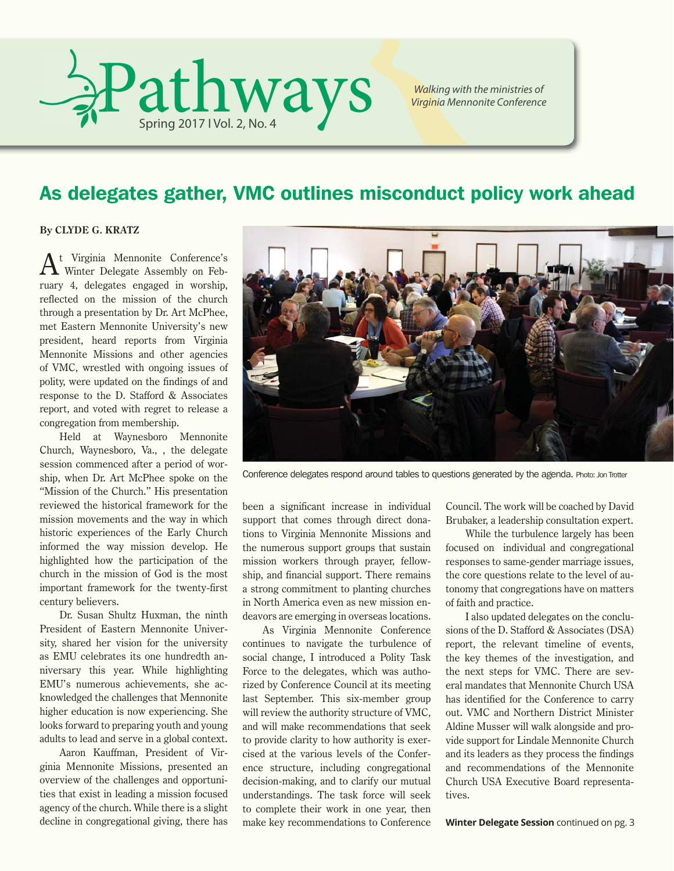

*Walking with the ministries of Virginia Mennonite Conference*

### As delegates gather, VMC outlines misconduct policy work ahead

#### **By CLYDE G. KRATZ**

 $A<sup>t</sup>$  Virginia Mennonite Conference's Winter Delegate Assembly on February 4, delegates engaged in worship, reflected on the mission of the church through a presentation by Dr. Art McPhee, met Eastern Mennonite University's new president, heard reports from Virginia Mennonite Missions and other agencies of VMC, wrestled with ongoing issues of polity, were updated on the findings of and response to the D. Stafford & Associates report, and voted with regret to release a congregation from membership.

Held at Waynesboro Mennonite Church, Waynesboro, Va., , the delegate session commenced after a period of worship, when Dr. Art McPhee spoke on the "Mission of the Church." His presentation reviewed the historical framework for the mission movements and the way in which historic experiences of the Early Church informed the way mission develop. He highlighted how the participation of the church in the mission of God is the most important framework for the twenty-first century believers.

Dr. Susan Shultz Huxman, the ninth President of Eastern Mennonite University, shared her vision for the university as EMU celebrates its one hundredth anniversary this year. While highlighting EMU's numerous achievements, she acknowledged the challenges that Mennonite higher education is now experiencing. She looks forward to preparing youth and young adults to lead and serve in a global context.

Aaron Kauffman, President of Virginia Mennonite Missions, presented an overview of the challenges and opportunities that exist in leading a mission focused agency of the church. While there is a slight decline in congregational giving, there has



Conference delegates respond around tables to questions generated by the agenda. Photo: Jon Trotter

been a significant increase in individual support that comes through direct donations to Virginia Mennonite Missions and the numerous support groups that sustain mission workers through prayer, fellowship, and financial support. There remains a strong commitment to planting churches in North America even as new mission endeavors are emerging in overseas locations.

As Virginia Mennonite Conference continues to navigate the turbulence of social change, I introduced a Polity Task Force to the delegates, which was authorized by Conference Council at its meeting last September. This six-member group will review the authority structure of VMC, and will make recommendations that seek to provide clarity to how authority is exercised at the various levels of the Conference structure, including congregational decision-making, and to clarify our mutual understandings. The task force will seek to complete their work in one year, then make key recommendations to Conference

Council. The work will be coached by David Brubaker, a leadership consultation expert.

While the turbulence largely has been focused on individual and congregational responses to same-gender marriage issues, the core questions relate to the level of autonomy that congregations have on matters of faith and practice.

I also updated delegates on the conclusions of the D. Stafford & Associates (DSA) report, the relevant timeline of events, the key themes of the investigation, and the next steps for VMC. There are several mandates that Mennonite Church USA has identified for the Conference to carry out. VMC and Northern District Minister Aldine Musser will walk alongside and provide support for Lindale Mennonite Church and its leaders as they process the findings and recommendations of the Mennonite Church USA Executive Board representatives.

**Winter Delegate Session** continued on pg. 3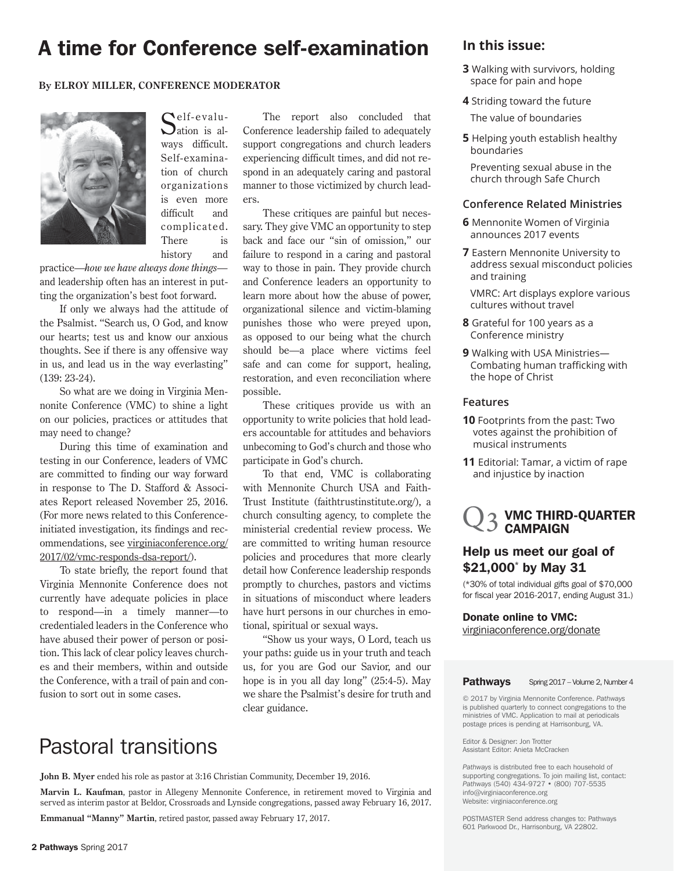### A time for Conference self-examination **In this issue:**

#### **By ELROY MILLER, CONFERENCE MODERATOR**



 $\bigcap$ elf-evalu- $\bigcup$ ation is always difficult. Self-examination of church organizations is even more difficult and complicated. There is history and

practice—*how we have always done things* and leadership often has an interest in putting the organization's best foot forward.

If only we always had the attitude of the Psalmist. "Search us, O God, and know our hearts; test us and know our anxious thoughts. See if there is any offensive way in us, and lead us in the way everlasting" (139: 23-24).

So what are we doing in Virginia Mennonite Conference (VMC) to shine a light on our policies, practices or attitudes that may need to change?

During this time of examination and testing in our Conference, leaders of VMC are committed to finding our way forward in response to The D. Stafford & Associates Report released November 25, 2016. (For more news related to this Conferenceinitiated investigation, its findings and recommendations, see virginiaconference.org/ 2017/02/vmc-responds-dsa-report/).

To state briefly, the report found that Virginia Mennonite Conference does not currently have adequate policies in place to respond—in a timely manner—to credentialed leaders in the Conference who have abused their power of person or position. This lack of clear policy leaves churches and their members, within and outside the Conference, with a trail of pain and confusion to sort out in some cases.

The report also concluded that Conference leadership failed to adequately support congregations and church leaders experiencing difficult times, and did not respond in an adequately caring and pastoral manner to those victimized by church leaders.

These critiques are painful but necessary. They give VMC an opportunity to step back and face our "sin of omission," our failure to respond in a caring and pastoral way to those in pain. They provide church and Conference leaders an opportunity to learn more about how the abuse of power, organizational silence and victim-blaming punishes those who were preyed upon, as opposed to our being what the church should be—a place where victims feel safe and can come for support, healing, restoration, and even reconciliation where possible.

These critiques provide us with an opportunity to write policies that hold leaders accountable for attitudes and behaviors unbecoming to God's church and those who participate in God's church.

To that end, VMC is collaborating with Mennonite Church USA and Faith-Trust Institute (faithtrustinstitute.org/), a church consulting agency, to complete the ministerial credential review process. We are committed to writing human resource policies and procedures that more clearly detail how Conference leadership responds promptly to churches, pastors and victims in situations of misconduct where leaders have hurt persons in our churches in emotional, spiritual or sexual ways.

"Show us your ways, O Lord, teach us your paths: guide us in your truth and teach us, for you are God our Savior, and our hope is in you all day long" (25:4-5). May we share the Psalmist's desire for truth and clear guidance.

### Pastoral transitions

**John B. Myer** ended his role as pastor at 3:16 Christian Community, December 19, 2016.

**Marvin L. Kaufman**, pastor in Allegeny Mennonite Conference, in retirement moved to Virginia and served as interim pastor at Beldor, Crossroads and Lynside congregations, passed away February 16, 2017.

**Emmanual "Manny" Martin**, retired pastor, passed away February 17, 2017.

- **3** Walking with survivors, holding space for pain and hope
- **4** Striding toward the future

The value of boundaries

**5** Helping youth establish healthy boundaries

 Preventing sexual abuse in the church through Safe Church

#### **Conference Related Ministries**

- **6** Mennonite Women of Virginia announces 2017 events
- **7** Eastern Mennonite University to address sexual misconduct policies and training

 VMRC: Art displays explore various cultures without travel

- **8** Grateful for 100 years as a Conference ministry
- **9** Walking with USA Ministries— Combating human trafficking with the hope of Christ

#### **Features**

- **10** Footprints from the past: Two votes against the prohibition of musical instruments
- **11** Editorial: Tamar, a victim of rape and injustice by inaction

#### VMC THIRD-QUARTER CAMPAIGN

#### Help us meet our goal of \$21,000\* by May 31

(\*30% of total individual gifts goal of \$70,000 for fiscal year 2016-2017, ending August 31.)

#### Donate online to VMC:

virginiaconference.org/donate



© 2017 by Virginia Mennonite Conference. *Pathways* is published quarterly to connect congregations to the ministries of VMC. Application to mail at periodicals postage prices is pending at Harrisonburg, VA.

Editor & Designer: Jon Trotter Assistant Editor: Anieta McCracken

*Pathways* is distributed free to each household of supporting congregations. To join mailing list, contact: *Pathways* (540) 434-9727 • (800) 707-5535 info@virginiaconference.org Website: virginiaconference.org

POSTMASTER Send address changes to: Pathways 601 Parkwood Dr., Harrisonburg, VA 22802.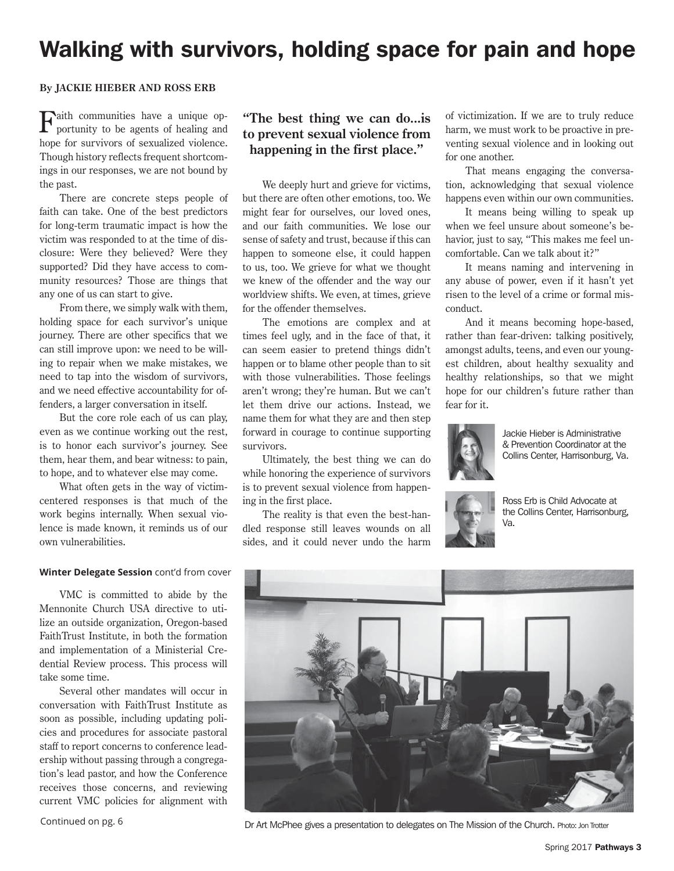## Walking with survivors, holding space for pain and hope

#### **By JACKIE HIEBER AND ROSS ERB**

Faith communities have a unique op-portunity to be agents of healing and hope for survivors of sexualized violence. Though history reflects frequent shortcomings in our responses, we are not bound by the past.

There are concrete steps people of faith can take. One of the best predictors for long-term traumatic impact is how the victim was responded to at the time of disclosure: Were they believed? Were they supported? Did they have access to community resources? Those are things that any one of us can start to give.

From there, we simply walk with them, holding space for each survivor's unique journey. There are other specifics that we can still improve upon: we need to be willing to repair when we make mistakes, we need to tap into the wisdom of survivors, and we need effective accountability for offenders, a larger conversation in itself.

But the core role each of us can play, even as we continue working out the rest, is to honor each survivor's journey. See them, hear them, and bear witness: to pain, to hope, and to whatever else may come.

What often gets in the way of victimcentered responses is that much of the work begins internally. When sexual violence is made known, it reminds us of our own vulnerabilities.

#### **Winter Delegate Session** cont'd from cover

VMC is committed to abide by the Mennonite Church USA directive to utilize an outside organization, Oregon-based FaithTrust Institute, in both the formation and implementation of a Ministerial Credential Review process. This process will take some time.

Several other mandates will occur in conversation with FaithTrust Institute as soon as possible, including updating policies and procedures for associate pastoral staff to report concerns to conference leadership without passing through a congregation's lead pastor, and how the Conference receives those concerns, and reviewing current VMC policies for alignment with

#### **"The best thing we can do...is to prevent sexual violence from happening in the first place."**

We deeply hurt and grieve for victims, but there are often other emotions, too. We might fear for ourselves, our loved ones, and our faith communities. We lose our sense of safety and trust, because if this can happen to someone else, it could happen to us, too. We grieve for what we thought we knew of the offender and the way our worldview shifts. We even, at times, grieve for the offender themselves.

The emotions are complex and at times feel ugly, and in the face of that, it can seem easier to pretend things didn't happen or to blame other people than to sit with those vulnerabilities. Those feelings aren't wrong; they're human. But we can't let them drive our actions. Instead, we name them for what they are and then step forward in courage to continue supporting survivors.

Ultimately, the best thing we can do while honoring the experience of survivors is to prevent sexual violence from happening in the first place.

The reality is that even the best-handled response still leaves wounds on all sides, and it could never undo the harm of victimization. If we are to truly reduce harm, we must work to be proactive in preventing sexual violence and in looking out for one another.

That means engaging the conversation, acknowledging that sexual violence happens even within our own communities.

It means being willing to speak up when we feel unsure about someone's behavior, just to say, "This makes me feel uncomfortable. Can we talk about it?"

It means naming and intervening in any abuse of power, even if it hasn't yet risen to the level of a crime or formal misconduct.

And it means becoming hope-based, rather than fear-driven: talking positively, amongst adults, teens, and even our youngest children, about healthy sexuality and healthy relationships, so that we might hope for our children's future rather than fear for it.



Jackie Hieber is Administrative & Prevention Coordinator at the Collins Center, Harrisonburg, Va.



Ross Erb is Child Advocate at the Collins Center, Harrisonburg, Va.



Continued on pg. 6 **Dream and Seap Art McPhee gives a presentation to delegates on The Mission of the Church. Photo: Jon Trotter**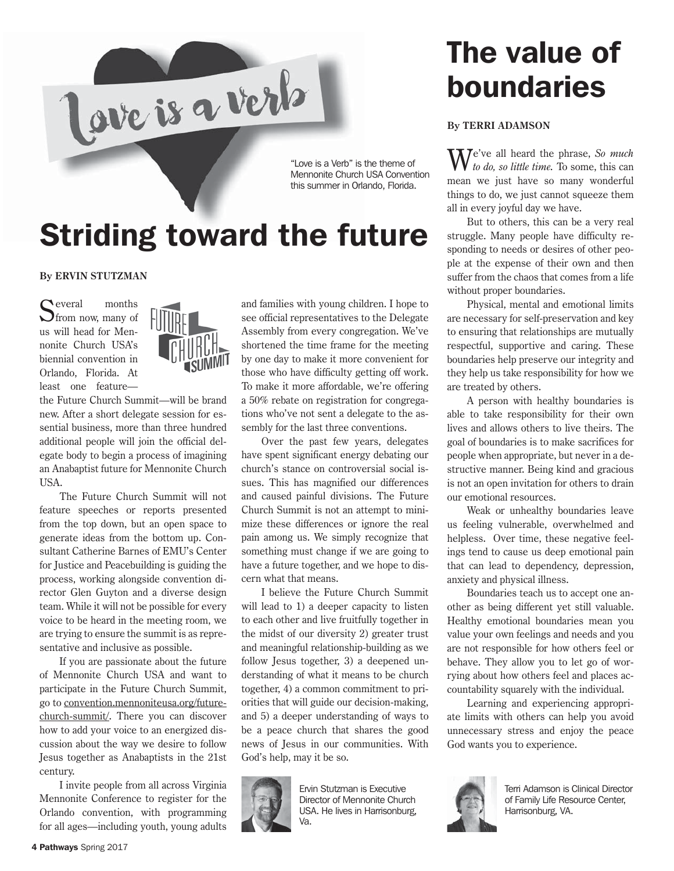

"Love is a Verb" is the theme of Mennonite Church USA Convention this summer in Orlando, Florida.

## Striding toward the future

#### **By ERVIN STUTZMAN**

Several months<br>
Sfrom now, many of us will head for Mennonite Church USA's biennial convention in Orlando, Florida. At least one feature—



the Future Church Summit—will be brand new. After a short delegate session for essential business, more than three hundred additional people will join the official delegate body to begin a process of imagining an Anabaptist future for Mennonite Church USA.

The Future Church Summit will not feature speeches or reports presented from the top down, but an open space to generate ideas from the bottom up. Consultant Catherine Barnes of EMU's Center for Justice and Peacebuilding is guiding the process, working alongside convention director Glen Guyton and a diverse design team. While it will not be possible for every voice to be heard in the meeting room, we are trying to ensure the summit is as representative and inclusive as possible.

If you are passionate about the future of Mennonite Church USA and want to participate in the Future Church Summit, go to convention.mennoniteusa.org/futurechurch-summit/. There you can discover how to add your voice to an energized discussion about the way we desire to follow Jesus together as Anabaptists in the 21st century.

I invite people from all across Virginia Mennonite Conference to register for the Orlando convention, with programming for all ages—including youth, young adults

and families with young children. I hope to see official representatives to the Delegate Assembly from every congregation. We've shortened the time frame for the meeting by one day to make it more convenient for those who have difficulty getting off work. To make it more affordable, we're offering a 50% rebate on registration for congregations who've not sent a delegate to the assembly for the last three conventions.

Over the past few years, delegates have spent significant energy debating our church's stance on controversial social issues. This has magnified our differences and caused painful divisions. The Future Church Summit is not an attempt to minimize these differences or ignore the real pain among us. We simply recognize that something must change if we are going to have a future together, and we hope to discern what that means.

I believe the Future Church Summit will lead to 1) a deeper capacity to listen to each other and live fruitfully together in the midst of our diversity 2) greater trust and meaningful relationship-building as we follow Jesus together, 3) a deepened understanding of what it means to be church together, 4) a common commitment to priorities that will guide our decision-making, and 5) a deeper understanding of ways to be a peace church that shares the good news of Jesus in our communities. With God's help, may it be so.



Ervin Stutzman is Executive Director of Mennonite Church USA. He lives in Harrisonburg, Va.

## The value of boundaries

#### **By TERRI ADAMSON**

We've all heard the phrase, *So much to do, so little time.* To some, this can mean we just have so many wonderful things to do, we just cannot squeeze them all in every joyful day we have.

But to others, this can be a very real struggle. Many people have difficulty responding to needs or desires of other people at the expense of their own and then suffer from the chaos that comes from a life without proper boundaries.

Physical, mental and emotional limits are necessary for self-preservation and key to ensuring that relationships are mutually respectful, supportive and caring. These boundaries help preserve our integrity and they help us take responsibility for how we are treated by others.

A person with healthy boundaries is able to take responsibility for their own lives and allows others to live theirs. The goal of boundaries is to make sacrifices for people when appropriate, but never in a destructive manner. Being kind and gracious is not an open invitation for others to drain our emotional resources.

Weak or unhealthy boundaries leave us feeling vulnerable, overwhelmed and helpless. Over time, these negative feelings tend to cause us deep emotional pain that can lead to dependency, depression, anxiety and physical illness.

Boundaries teach us to accept one another as being different yet still valuable. Healthy emotional boundaries mean you value your own feelings and needs and you are not responsible for how others feel or behave. They allow you to let go of worrying about how others feel and places accountability squarely with the individual.

Learning and experiencing appropriate limits with others can help you avoid unnecessary stress and enjoy the peace God wants you to experience.



Terri Adamson is Clinical Director of Family Life Resource Center, Harrisonburg, VA.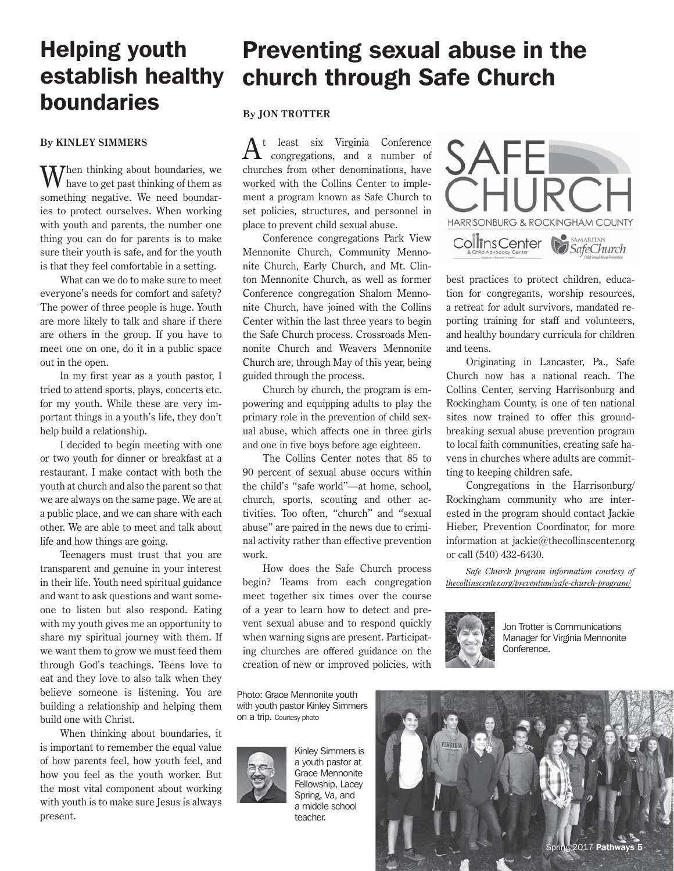## Helping youth establish healthy boundaries

#### **By KINLEY SIMMERS**

 $M^{h}$ en thinking about boundaries, we have to get past thinking of them as something negative. We need boundaries to protect ourselves. When working with youth and parents, the number one thing you can do for parents is to make sure their youth is safe, and for the youth is that they feel comfortable in a setting.

What can we do to make sure to meet everyone's needs for comfort and safety? The power of three people is huge. Youth are more likely to talk and share if there are others in the group. If you have to meet one on one, do it in a public space out in the open.

In my first year as a youth pastor, I tried to attend sports, plays, concerts etc. for my youth. While these are very important things in a youth's life, they don't help build a relationship.

I decided to begin meeting with one or two youth for dinner or breakfast at a restaurant. I make contact with both the youth at church and also the parent so that we are always on the same page. We are at a public place, and we can share with each other. We are able to meet and talk about life and how things are going.

Teenagers must trust that you are transparent and genuine in your interest in their life. Youth need spiritual guidance and want to ask questions and want someone to listen but also respond. Eating with my youth gives me an opportunity to share my spiritual journey with them. If we want them to grow we must feed them through God's teachings. Teens love to eat and they love to also talk when they believe someone is listening. You are building a relationship and helping them build one with Christ.

When thinking about boundaries, it is important to remember the equal value of how parents feel, how youth feel, and how you feel as the youth worker. But the most vital component about working with youth is to make sure Jesus is always present.

## Preventing sexual abuse in the church through Safe Church

#### **By JON TROTTER**

 $A<sup>t</sup>$  least six Virginia Conference congregations, and a number of churches from other denominations, have worked with the Collins Center to implement a program known as Safe Church to set policies, structures, and personnel in place to prevent child sexual abuse.

Conference congregations Park View Mennonite Church, Community Mennonite Church, Early Church, and Mt. Clinton Mennonite Church, as well as former Conference congregation Shalom Mennonite Church, have joined with the Collins Center within the last three years to begin the Safe Church process. Crossroads Mennonite Church and Weavers Mennonite Church are, through May of this year, being guided through the process.

Church by church, the program is empowering and equipping adults to play the primary role in the prevention of child sexual abuse, which affects one in three girls and one in five boys before age eighteen.

The Collins Center notes that 85 to 90 percent of sexual abuse occurs within the child's "safe world"—at home, school, church, sports, scouting and other activities. Too often, "church" and "sexual abuse" are paired in the news due to criminal activity rather than effective prevention work.

How does the Safe Church process begin? Teams from each congregation meet together six times over the course of a year to learn how to detect and prevent sexual abuse and to respond quickly when warning signs are present. Participating churches are offered guidance on the creation of new or improved policies, with

Photo: Grace Mennonite youth with youth pastor Kinley Simmers on a trip. Courtesy photo



Kinley Simmers is a youth pastor at Grace Mennonite Fellowship, Lacey Spring, Va, and a middle school teacher.



best practices to protect children, education for congregants, worship resources, a retreat for adult survivors, mandated reporting training for staff and volunteers, and healthy boundary curricula for children and teens.

Originating in Lancaster, Pa., Safe Church now has a national reach. The Collins Center, serving Harrisonburg and Rockingham County, is one of ten national sites now trained to offer this groundbreaking sexual abuse prevention program to local faith communities, creating safe havens in churches where adults are committing to keeping children safe.

Congregations in the Harrisonburg/ Rockingham community who are interested in the program should contact Jackie Hieber, Prevention Coordinator, for more information at jackie@thecollinscenter.org or call (540) 432-6430.

*Safe Church program information courtesy of thecollinscenter.org/prevention/safe-church-program/*



Jon Trotter is Communications Manager for Virginia Mennonite Conference.

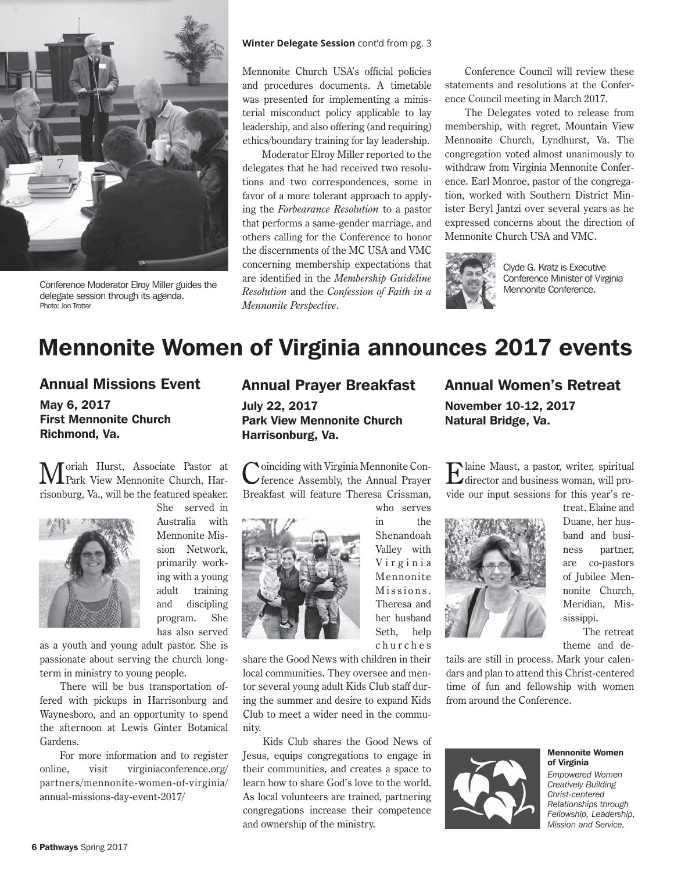

delegate session through its agenda. Photo: Jon Trotter

#### **Winter Delegate Session** cont'd from pg. 3

Mennonite Church USA's official policies and procedures documents. A timetable was presented for implementing a ministerial misconduct policy applicable to lay leadership, and also offering (and requiring) ethics/boundary training for lay leadership.

Moderator Elroy Miller reported to the delegates that he had received two resolutions and two correspondences, some in favor of a more tolerant approach to applying the *Forbearance Resolution* to a pastor that performs a same-gender marriage, and others calling for the Conference to honor the discernments of the MC USA and VMC concerning membership expectations that are identified in the *Membership Guideline*  Conference Moderator Elroy Miller guides the and the *Lating Conference Conference* Miller guides the *Resolution* and the *Confession of Faith in a* **Conference**. *Mennonite Perspective*.

Conference Council will review these statements and resolutions at the Conference Council meeting in March 2017.

The Delegates voted to release from membership, with regret, Mountain View Mennonite Church, Lyndhurst, Va. The congregation voted almost unanimously to withdraw from Virginia Mennonite Conference. Earl Monroe, pastor of the congregation, worked with Southern District Minister Beryl Jantzi over several years as he expressed concerns about the direction of Mennonite Church USA and VMC.



Clyde G. Kratz is Executive Conference Minister of Virginia<br>Mennonite Conference.

### Mennonite Women of Virginia announces 2017 events

#### Annual Missions Event

May 6, 2017 First Mennonite Church Richmond, Va.

Moriah Hurst, Associate Pastor at Park View Mennonite Church, Harrisonburg, Va., will be the featured speaker.



She served in Australia with Mennonite Mission Network, primarily working with a young adult training and discipling program. She has also served

as a youth and young adult pastor. She is passionate about serving the church longterm in ministry to young people.

There will be bus transportation offered with pickups in Harrisonburg and Waynesboro, and an opportunity to spend the afternoon at Lewis Ginter Botanical Gardens.

For more information and to register online, visit virginiaconference.org/ partners/mennonite-women-of-virginia/ annual-missions-day-event-2017/

### Annual Prayer Breakfast

July 22, 2017 Park View Mennonite Church Harrisonburg, Va.

Coinciding with Virginia Mennonite Con-ference Assembly, the Annual Prayer Breakfast will feature Theresa Crissman,



who serves in the Shenandoah Valley with V i r g i n i a Mennonite Missions. Theresa and her husband Seth, help c h u r c h e s

share the Good News with children in their local communities. They oversee and mentor several young adult Kids Club staff during the summer and desire to expand Kids Club to meet a wider need in the community.

Kids Club shares the Good News of Jesus, equips congregations to engage in their communities, and creates a space to learn how to share God's love to the world. As local volunteers are trained, partnering congregations increase their competence and ownership of the ministry.

Annual Women's Retreat November 10-12, 2017 Natural Bridge, Va.

Elaine Maust, a pastor, writer, spiritual director and business woman, will provide our input sessions for this year's re-



treat. Elaine and Duane, her husband and business partner, are co-pastors of Jubilee Mennonite Church, Meridian, Mississippi. The retreat

theme and de-

tails are still in process. Mark your calendars and plan to attend this Christ-centered time of fun and fellowship with women from around the Conference.



Mennonite Women of Virginia

*Empowered Women Creatively Building Christ-centered Relationships through Fellowship, Leadership, Mission and Service.*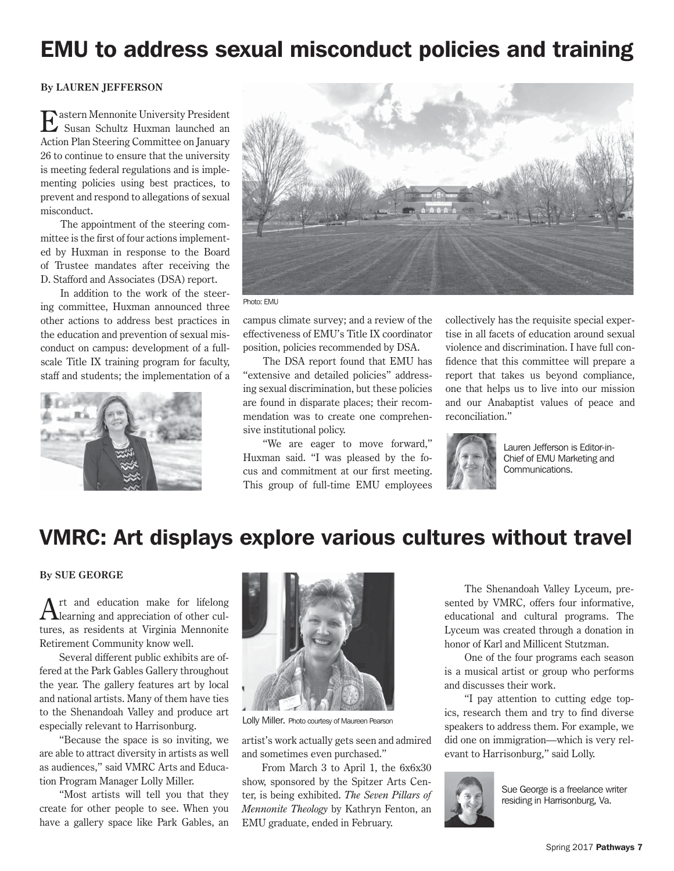## EMU to address sexual misconduct policies and training

#### **By LAUREN JEFFERSON**

Eastern Mennonite University President Susan Schultz Huxman launched an Action Plan Steering Committee on January 26 to continue to ensure that the university is meeting federal regulations and is implementing policies using best practices, to prevent and respond to allegations of sexual misconduct.

The appointment of the steering committee is the first of four actions implemented by Huxman in response to the Board of Trustee mandates after receiving the D. Stafford and Associates (DSA) report.

In addition to the work of the steering committee, Huxman announced three other actions to address best practices in the education and prevention of sexual misconduct on campus: development of a fullscale Title IX training program for faculty, staff and students; the implementation of a





Photo: EMU

campus climate survey; and a review of the effectiveness of EMU's Title IX coordinator position, policies recommended by DSA.

The DSA report found that EMU has "extensive and detailed policies" addressing sexual discrimination, but these policies are found in disparate places; their recommendation was to create one comprehensive institutional policy.

"We are eager to move forward," Huxman said. "I was pleased by the focus and commitment at our first meeting. This group of full-time EMU employees collectively has the requisite special expertise in all facets of education around sexual violence and discrimination. I have full confidence that this committee will prepare a report that takes us beyond compliance, one that helps us to live into our mission and our Anabaptist values of peace and reconciliation."



Lauren Jefferson is Editor-in-Chief of EMU Marketing and Communications.

### VMRC: Art displays explore various cultures without travel

#### **By SUE GEORGE**

Art and education make for lifelong learning and appreciation of other cultures, as residents at Virginia Mennonite Retirement Community know well.

Several different public exhibits are offered at the Park Gables Gallery throughout the year. The gallery features art by local and national artists. Many of them have ties to the Shenandoah Valley and produce art especially relevant to Harrisonburg.

"Because the space is so inviting, we are able to attract diversity in artists as well as audiences," said VMRC Arts and Education Program Manager Lolly Miller.

"Most artists will tell you that they create for other people to see. When you have a gallery space like Park Gables, an



Lolly Miller*.* Photo courtesy of Maureen Pearson

artist's work actually gets seen and admired and sometimes even purchased."

From March 3 to April 1, the 6x6x30 show, sponsored by the Spitzer Arts Center, is being exhibited. *The Seven Pillars of Mennonite Theology* by Kathryn Fenton, an EMU graduate, ended in February.

The Shenandoah Valley Lyceum, presented by VMRC, offers four informative, educational and cultural programs. The Lyceum was created through a donation in honor of Karl and Millicent Stutzman.

One of the four programs each season is a musical artist or group who performs and discusses their work.

"I pay attention to cutting edge topics, research them and try to find diverse speakers to address them. For example, we did one on immigration—which is very relevant to Harrisonburg," said Lolly.



Sue George is a freelance writer residing in Harrisonburg, Va.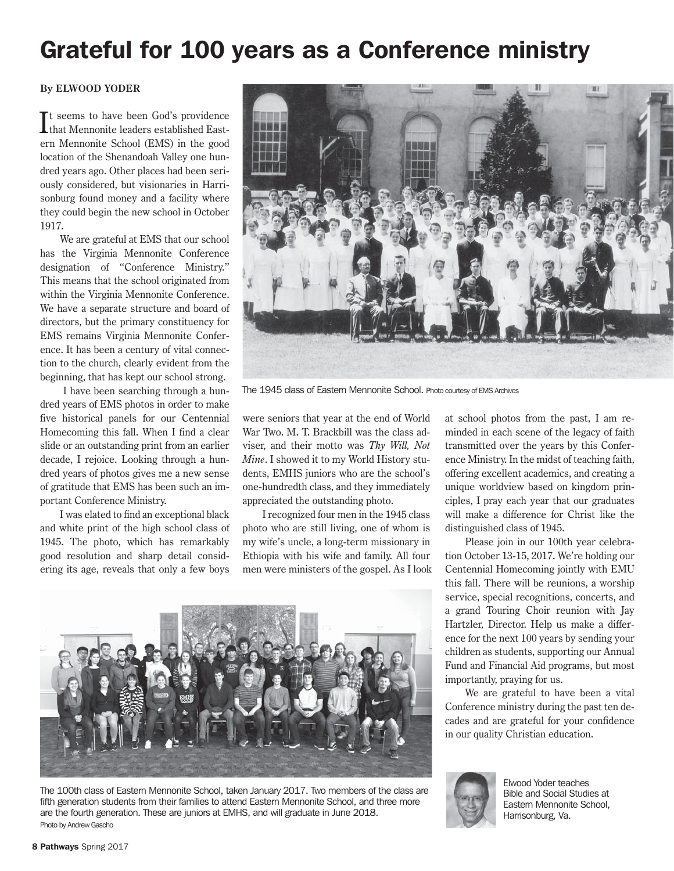## Grateful for 100 years as a Conference ministry

#### **By ELWOOD YODER**

It seems to have been God's providence<br>
that Mennonite leaders established Eastt seems to have been God's providence ern Mennonite School (EMS) in the good location of the Shenandoah Valley one hundred years ago. Other places had been seriously considered, but visionaries in Harrisonburg found money and a facility where they could begin the new school in October 1917.

We are grateful at EMS that our school has the Virginia Mennonite Conference designation of "Conference Ministry." This means that the school originated from within the Virginia Mennonite Conference. We have a separate structure and board of directors, but the primary constituency for EMS remains Virginia Mennonite Conference. It has been a century of vital connection to the church, clearly evident from the beginning, that has kept our school strong.

 I have been searching through a hundred years of EMS photos in order to make five historical panels for our Centennial Homecoming this fall. When I find a clear slide or an outstanding print from an earlier decade, I rejoice. Looking through a hundred years of photos gives me a new sense of gratitude that EMS has been such an important Conference Ministry.

I was elated to find an exceptional black and white print of the high school class of 1945. The photo, which has remarkably good resolution and sharp detail considering its age, reveals that only a few boys



The 1945 class of Eastern Mennonite School. Photo courtesy of EMS Archives

were seniors that year at the end of World War Two. M. T. Brackbill was the class adviser, and their motto was *Thy Will, Not Mine*. I showed it to my World History students, EMHS juniors who are the school's one-hundredth class, and they immediately appreciated the outstanding photo.

I recognized four men in the 1945 class photo who are still living, one of whom is my wife's uncle, a long-term missionary in Ethiopia with his wife and family. All four men were ministers of the gospel. As I look



The 100th class of Eastern Mennonite School, taken January 2017. Two members of the class are fifth generation students from their families to attend Eastern Mennonite School, and three more are the fourth generation. These are juniors at EMHS, and will graduate in June 2018. Photo by Andrew Gascho

at school photos from the past, I am reminded in each scene of the legacy of faith transmitted over the years by this Conference Ministry. In the midst of teaching faith, offering excellent academics, and creating a unique worldview based on kingdom principles, I pray each year that our graduates will make a difference for Christ like the distinguished class of 1945.

Please join in our 100th year celebration October 13-15, 2017. We're holding our Centennial Homecoming jointly with EMU this fall. There will be reunions, a worship service, special recognitions, concerts, and a grand Touring Choir reunion with Jay Hartzler, Director. Help us make a difference for the next 100 years by sending your children as students, supporting our Annual Fund and Financial Aid programs, but most importantly, praying for us.

We are grateful to have been a vital Conference ministry during the past ten decades and are grateful for your confidence in our quality Christian education.



Elwood Yoder teaches Bible and Social Studies at Eastern Mennonite School, Harrisonburg, Va.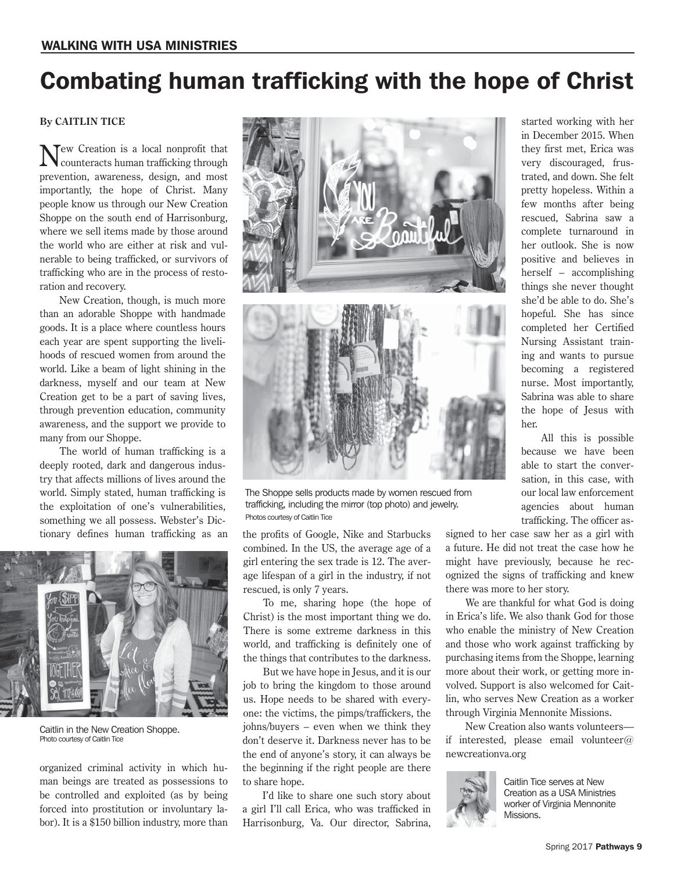## Combating human trafficking with the hope of Christ

#### **By CAITLIN TICE**

Tew Creation is a local nonprofit that counteracts human trafficking through prevention, awareness, design, and most importantly, the hope of Christ. Many people know us through our New Creation Shoppe on the south end of Harrisonburg, where we sell items made by those around the world who are either at risk and vulnerable to being trafficked, or survivors of trafficking who are in the process of restoration and recovery.

New Creation, though, is much more than an adorable Shoppe with handmade goods. It is a place where countless hours each year are spent supporting the livelihoods of rescued women from around the world. Like a beam of light shining in the darkness, myself and our team at New Creation get to be a part of saving lives, through prevention education, community awareness, and the support we provide to many from our Shoppe.

The world of human trafficking is a deeply rooted, dark and dangerous industry that affects millions of lives around the world. Simply stated, human trafficking is the exploitation of one's vulnerabilities, something we all possess. Webster's Dictionary defines human trafficking as an



Caitlin in the New Creation Shoppe. Photo courtesy of Caitlin Tice

organized criminal activity in which human beings are treated as possessions to be controlled and exploited (as by being forced into prostitution or involuntary labor). It is a \$150 billion industry, more than





The Shoppe sells products made by women rescued from trafficking, including the mirror (top photo) and jewelry. Photos courtesy of Caitlin Tice

the profits of Google, Nike and Starbucks combined. In the US, the average age of a girl entering the sex trade is 12. The average lifespan of a girl in the industry, if not rescued, is only 7 years.

To me, sharing hope (the hope of Christ) is the most important thing we do. There is some extreme darkness in this world, and trafficking is definitely one of the things that contributes to the darkness.

But we have hope in Jesus, and it is our job to bring the kingdom to those around us. Hope needs to be shared with everyone: the victims, the pimps/traffickers, the johns/buyers – even when we think they don't deserve it. Darkness never has to be the end of anyone's story, it can always be the beginning if the right people are there to share hope.

I'd like to share one such story about a girl I'll call Erica, who was trafficked in Harrisonburg, Va. Our director, Sabrina,

started working with her in December 2015. When they first met, Erica was very discouraged, frustrated, and down. She felt pretty hopeless. Within a few months after being rescued, Sabrina saw a complete turnaround in her outlook. She is now positive and believes in herself – accomplishing things she never thought she'd be able to do. She's hopeful. She has since completed her Certified Nursing Assistant training and wants to pursue becoming a registered nurse. Most importantly, Sabrina was able to share the hope of Jesus with her.

All this is possible because we have been able to start the conversation, in this case, with our local law enforcement agencies about human trafficking. The officer as-

signed to her case saw her as a girl with a future. He did not treat the case how he might have previously, because he recognized the signs of trafficking and knew there was more to her story.

We are thankful for what God is doing. in Erica's life. We also thank God for those who enable the ministry of New Creation and those who work against trafficking by purchasing items from the Shoppe, learning more about their work, or getting more involved. Support is also welcomed for Caitlin, who serves New Creation as a worker through Virginia Mennonite Missions.

New Creation also wants volunteers if interested, please email volunteer@ newcreationva.org



Caitlin Tice serves at New Creation as a USA Ministries worker of Virginia Mennonite Missions.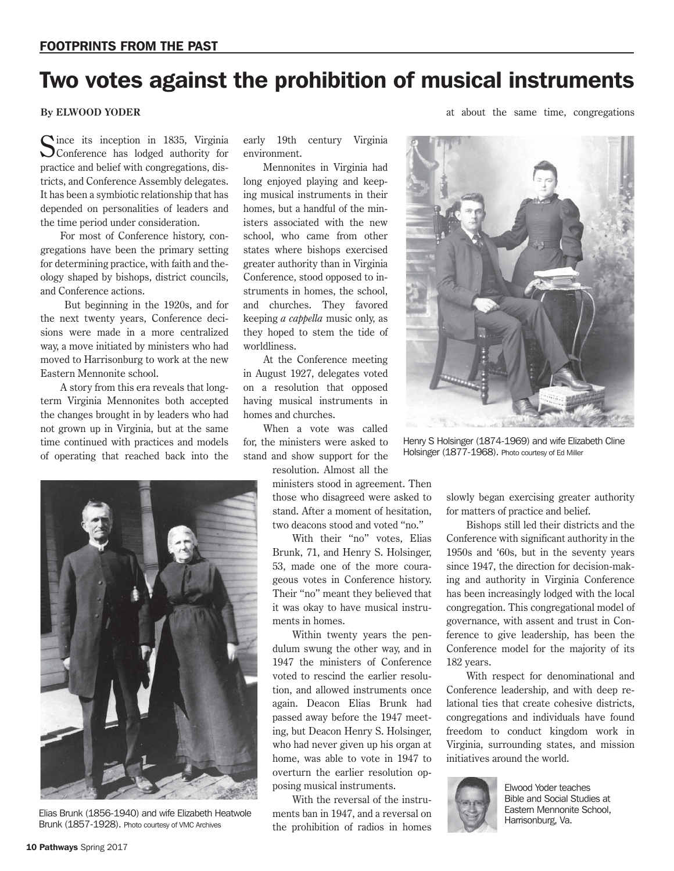## Two votes against the prohibition of musical instruments

#### **By ELWOOD YODER**

 $\sum$  ince its inception in 1835, Virginia Conference has lodged authority for practice and belief with congregations, districts, and Conference Assembly delegates. It has been a symbiotic relationship that has depended on personalities of leaders and the time period under consideration.

For most of Conference history, congregations have been the primary setting for determining practice, with faith and theology shaped by bishops, district councils, and Conference actions.

 But beginning in the 1920s, and for the next twenty years, Conference decisions were made in a more centralized way, a move initiated by ministers who had moved to Harrisonburg to work at the new Eastern Mennonite school.

A story from this era reveals that longterm Virginia Mennonites both accepted the changes brought in by leaders who had not grown up in Virginia, but at the same time continued with practices and models of operating that reached back into the



Elias Brunk (1856-1940) and wife Elizabeth Heatwole ments ban in 1947, and a reversal on Eastern Mennonity Va.<br>Brunk (1857-1928), prets curre of MC Ambien Brunk (1857-1928). Photo courtesy of VMC Archives

early 19th century Virginia environment.

Mennonites in Virginia had long enjoyed playing and keeping musical instruments in their homes, but a handful of the ministers associated with the new school, who came from other states where bishops exercised greater authority than in Virginia Conference, stood opposed to instruments in homes, the school, and churches. They favored keeping *a cappella* music only, as they hoped to stem the tide of worldliness.

At the Conference meeting in August 1927, delegates voted on a resolution that opposed having musical instruments in homes and churches.

When a vote was called for, the ministers were asked to stand and show support for the resolution. Almost all the

ministers stood in agreement. Then those who disagreed were asked to stand. After a moment of hesitation, two deacons stood and voted "no."

With their "no" votes, Elias Brunk, 71, and Henry S. Holsinger, 53, made one of the more courageous votes in Conference history. Their "no" meant they believed that it was okay to have musical instruments in homes.

Within twenty years the pendulum swung the other way, and in 1947 the ministers of Conference voted to rescind the earlier resolution, and allowed instruments once again. Deacon Elias Brunk had passed away before the 1947 meeting, but Deacon Henry S. Holsinger, who had never given up his organ at home, was able to vote in 1947 to overturn the earlier resolution opposing musical instruments.

With the reversal of the instruments ban in 1947, and a reversal on the prohibition of radios in homes at about the same time, congregations



Henry S Holsinger (1874-1969) and wife Elizabeth Cline Holsinger (1877-1968). Photo courtesy of Ed Miller

slowly began exercising greater authority for matters of practice and belief.

Bishops still led their districts and the Conference with significant authority in the 1950s and '60s, but in the seventy years since 1947, the direction for decision-making and authority in Virginia Conference has been increasingly lodged with the local congregation. This congregational model of governance, with assent and trust in Conference to give leadership, has been the Conference model for the majority of its 182 years.

With respect for denominational and Conference leadership, and with deep relational ties that create cohesive districts, congregations and individuals have found freedom to conduct kingdom work in Virginia, surrounding states, and mission initiatives around the world.



Elwood Yoder teaches Bible and Social Studies at Eastern Mennonite School,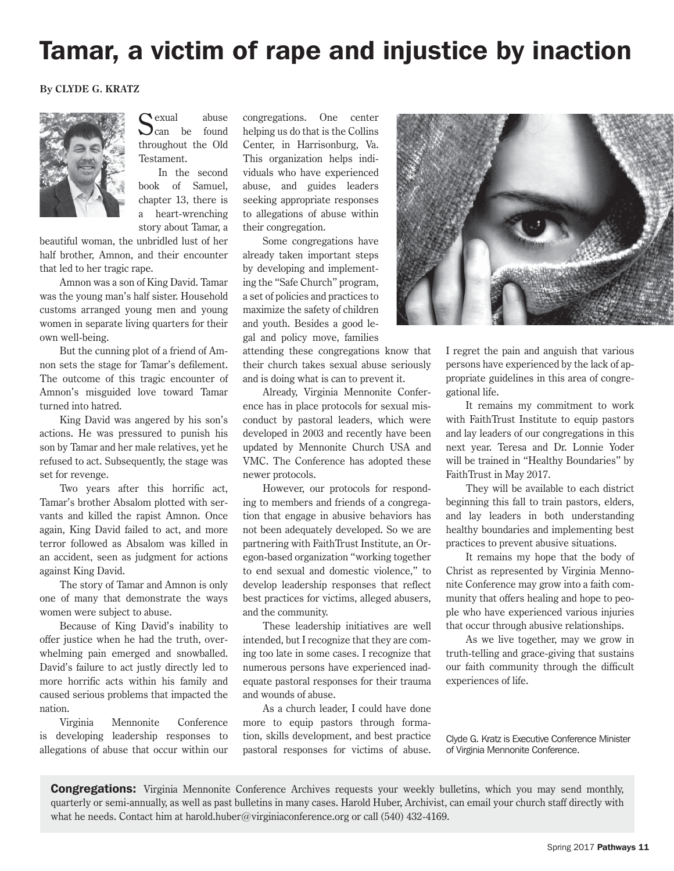## Tamar, a victim of rape and injustice by inaction

#### **By CLYDE G. KRATZ**



Sexual abuse<br>Scan be found throughout the Old Testament.

In the second book of Samuel, chapter 13, there is a heart-wrenching story about Tamar, a

beautiful woman, the unbridled lust of her half brother, Amnon, and their encounter that led to her tragic rape.

Amnon was a son of King David. Tamar was the young man's half sister. Household customs arranged young men and young women in separate living quarters for their own well-being.

But the cunning plot of a friend of Amnon sets the stage for Tamar's defilement. The outcome of this tragic encounter of Amnon's misguided love toward Tamar turned into hatred.

King David was angered by his son's actions. He was pressured to punish his son by Tamar and her male relatives, yet he refused to act. Subsequently, the stage was set for revenge.

Two years after this horrific act, Tamar's brother Absalom plotted with servants and killed the rapist Amnon. Once again, King David failed to act, and more terror followed as Absalom was killed in an accident, seen as judgment for actions against King David.

The story of Tamar and Amnon is only one of many that demonstrate the ways women were subject to abuse.

Because of King David's inability to offer justice when he had the truth, overwhelming pain emerged and snowballed. David's failure to act justly directly led to more horrific acts within his family and caused serious problems that impacted the nation.

Virginia Mennonite Conference is developing leadership responses to allegations of abuse that occur within our

congregations. One center helping us do that is the Collins Center, in Harrisonburg, Va. This organization helps individuals who have experienced abuse, and guides leaders seeking appropriate responses to allegations of abuse within their congregation.

Some congregations have already taken important steps by developing and implementing the "Safe Church" program, a set of policies and practices to maximize the safety of children and youth. Besides a good legal and policy move, families

attending these congregations know that their church takes sexual abuse seriously and is doing what is can to prevent it.

Already, Virginia Mennonite Conference has in place protocols for sexual misconduct by pastoral leaders, which were developed in 2003 and recently have been updated by Mennonite Church USA and VMC. The Conference has adopted these newer protocols.

However, our protocols for responding to members and friends of a congregation that engage in abusive behaviors has not been adequately developed. So we are partnering with FaithTrust Institute, an Oregon-based organization "working together to end sexual and domestic violence," to develop leadership responses that reflect best practices for victims, alleged abusers, and the community.

These leadership initiatives are well intended, but I recognize that they are coming too late in some cases. I recognize that numerous persons have experienced inadequate pastoral responses for their trauma and wounds of abuse.

As a church leader, I could have done more to equip pastors through formation, skills development, and best practice pastoral responses for victims of abuse.



I regret the pain and anguish that various persons have experienced by the lack of appropriate guidelines in this area of congregational life.

It remains my commitment to work with FaithTrust Institute to equip pastors and lay leaders of our congregations in this next year. Teresa and Dr. Lonnie Yoder will be trained in "Healthy Boundaries" by FaithTrust in May 2017.

They will be available to each district beginning this fall to train pastors, elders, and lay leaders in both understanding healthy boundaries and implementing best practices to prevent abusive situations.

It remains my hope that the body of Christ as represented by Virginia Mennonite Conference may grow into a faith community that offers healing and hope to people who have experienced various injuries that occur through abusive relationships.

As we live together, may we grow in truth-telling and grace-giving that sustains our faith community through the difficult experiences of life.

Clyde G. Kratz is Executive Conference Minister of Virginia Mennonite Conference.

**Congregations:** Virginia Mennonite Conference Archives requests your weekly bulletins, which you may send monthly, quarterly or semi-annually, as well as past bulletins in many cases. Harold Huber, Archivist, can email your church staff directly with what he needs. Contact him at harold.huber@virginiaconference.org or call (540) 432-4169.